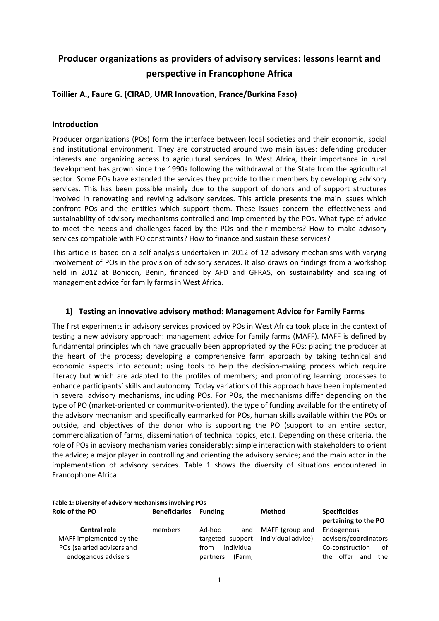# **Producer organizations as providers of advisory services: lessons learnt and perspective in Francophone Africa**

# **Toillier A., Faure G. (CIRAD, UMR Innovation, France/Burkina Faso)**

## **Introduction**

Producer organizations (POs) form the interface between local societies and their economic, social and institutional environment. They are constructed around two main issues: defending producer interests and organizing access to agricultural services. In West Africa, their importance in rural development has grown since the 1990s following the withdrawal of the State from the agricultural sector. Some POs have extended the services they provide to their members by developing advisory services. This has been possible mainly due to the support of donors and of support structures involved in renovating and reviving advisory services. This article presents the main issues which confront POs and the entities which support them. These issues concern the effectiveness and sustainability of advisory mechanisms controlled and implemented by the POs. What type of advice to meet the needs and challenges faced by the POs and their members? How to make advisory services compatible with PO constraints? How to finance and sustain these services?

This article is based on a self-analysis undertaken in 2012 of 12 advisory mechanisms with varying involvement of POs in the provision of advisory services. It also draws on findings from a workshop held in 2012 at Bohicon, Benin, financed by AFD and GFRAS, on sustainability and scaling of management advice for family farms in West Africa.

## **1) Testing an innovative advisory method: Management Advice for Family Farms**

The first experiments in advisory services provided by POs in West Africa took place in the context of testing a new advisory approach: management advice for family farms (MAFF). MAFF is defined by fundamental principles which have gradually been appropriated by the POs: placing the producer at the heart of the process; developing a comprehensive farm approach by taking technical and economic aspects into account; using tools to help the decision-making process which require literacy but which are adapted to the profiles of members; and promoting learning processes to enhance participants' skills and autonomy. Today variations of this approach have been implemented in several advisory mechanisms, including POs. For POs, the mechanisms differ depending on the type of PO (market-oriented or community-oriented), the type of funding available for the entirety of the advisory mechanism and specifically earmarked for POs, human skills available within the POs or outside, and objectives of the donor who is supporting the PO (support to an entire sector, commercialization of farms, dissemination of technical topics, etc.). Depending on these criteria, the role of POs in advisory mechanism varies considerably: simple interaction with stakeholders to orient the advice; a major player in controlling and orienting the advisory service; and the main actor in the implementation of advisory services. Table 1 shows the diversity of situations encountered in Francophone Africa.

| Table 1: Diversity of advisory mechanisms involving POs |                      |                    |                    |                                              |  |  |  |  |
|---------------------------------------------------------|----------------------|--------------------|--------------------|----------------------------------------------|--|--|--|--|
| Role of the PO                                          | <b>Beneficiaries</b> | <b>Funding</b>     | Method             | <b>Specificities</b><br>pertaining to the PO |  |  |  |  |
| <b>Central role</b>                                     | members              | Ad-hoc<br>and      | MAFF (group and    | Endogenous                                   |  |  |  |  |
| MAFF implemented by the                                 |                      | targeted support   | individual advice) | advisers/coordinators                        |  |  |  |  |
| POs (salaried advisers and                              |                      | individual<br>from |                    | Co-construction<br>of                        |  |  |  |  |
| endogenous advisers                                     |                      | (Farm,<br>partners |                    | offer<br>the<br>the.<br>and                  |  |  |  |  |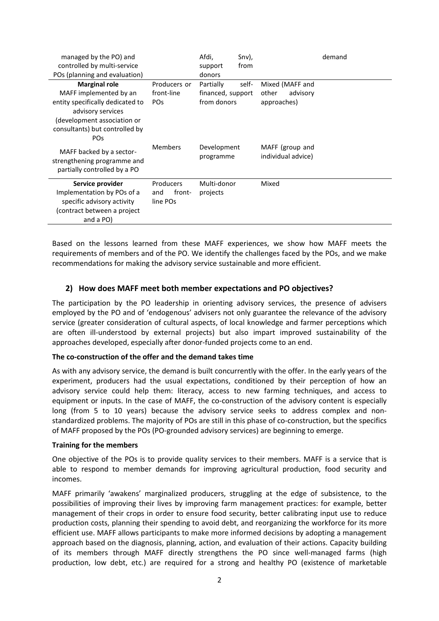| managed by the PO) and           |                       | Afdi,             | Snv), |                    | demand |
|----------------------------------|-----------------------|-------------------|-------|--------------------|--------|
| controlled by multi-service      |                       | support           | from  |                    |        |
| POs (planning and evaluation)    |                       | donors            |       |                    |        |
| <b>Marginal role</b>             | Producers or          | Partially         | self- | Mixed (MAFF and    |        |
| MAFF implemented by an           | front-line            | financed, support |       | other<br>advisory  |        |
| entity specifically dedicated to | <b>PO<sub>S</sub></b> | from donors       |       | approaches)        |        |
| advisory services                |                       |                   |       |                    |        |
| (development association or      |                       |                   |       |                    |        |
| consultants) but controlled by   |                       |                   |       |                    |        |
| <b>PO<sub>S</sub></b>            |                       |                   |       |                    |        |
| MAFF backed by a sector-         | <b>Members</b>        | Development       |       | MAFF (group and    |        |
| strengthening programme and      |                       | programme         |       | individual advice) |        |
| partially controlled by a PO     |                       |                   |       |                    |        |
|                                  |                       |                   |       |                    |        |
| Service provider                 | Producers             | Multi-donor       |       | Mixed              |        |
| Implementation by POs of a       | front-<br>and         | projects          |       |                    |        |
| specific advisory activity       | line POs              |                   |       |                    |        |
| (contract between a project      |                       |                   |       |                    |        |
| and a PO)                        |                       |                   |       |                    |        |

Based on the lessons learned from these MAFF experiences, we show how MAFF meets the requirements of members and of the PO. We identify the challenges faced by the POs, and we make recommendations for making the advisory service sustainable and more efficient.

## **2) How does MAFF meet both member expectations and PO objectives?**

The participation by the PO leadership in orienting advisory services, the presence of advisers employed by the PO and of 'endogenous' advisers not only guarantee the relevance of the advisory service (greater consideration of cultural aspects, of local knowledge and farmer perceptions which are often ill-understood by external projects) but also impart improved sustainability of the approaches developed, especially after donor-funded projects come to an end.

#### **The co-construction of the offer and the demand takes time**

As with any advisory service, the demand is built concurrently with the offer. In the early years of the experiment, producers had the usual expectations, conditioned by their perception of how an advisory service could help them: literacy, access to new farming techniques, and access to equipment or inputs. In the case of MAFF, the co-construction of the advisory content is especially long (from 5 to 10 years) because the advisory service seeks to address complex and nonstandardized problems. The majority of POs are still in this phase of co-construction, but the specifics of MAFF proposed by the POs (PO-grounded advisory services) are beginning to emerge.

#### **Training for the members**

One objective of the POs is to provide quality services to their members. MAFF is a service that is able to respond to member demands for improving agricultural production, food security and incomes.

MAFF primarily 'awakens' marginalized producers, struggling at the edge of subsistence, to the possibilities of improving their lives by improving farm management practices: for example, better management of their crops in order to ensure food security, better calibrating input use to reduce production costs, planning their spending to avoid debt, and reorganizing the workforce for its more efficient use. MAFF allows participants to make more informed decisions by adopting a management approach based on the diagnosis, planning, action, and evaluation of their actions. Capacity building of its members through MAFF directly strengthens the PO since well-managed farms (high production, low debt, etc.) are required for a strong and healthy PO (existence of marketable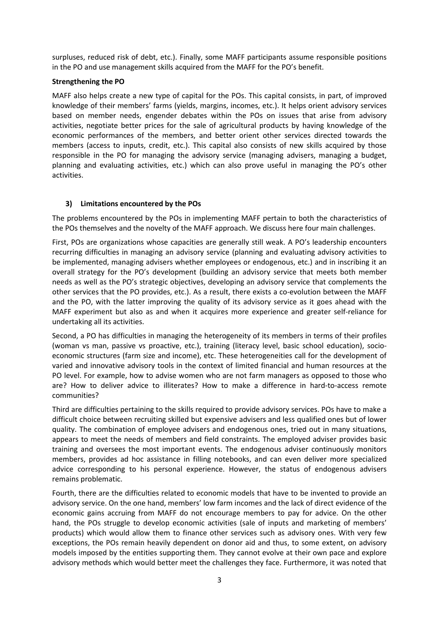surpluses, reduced risk of debt, etc.). Finally, some MAFF participants assume responsible positions in the PO and use management skills acquired from the MAFF for the PO's benefit.

## **Strengthening the PO**

MAFF also helps create a new type of capital for the POs. This capital consists, in part, of improved knowledge of their members' farms (yields, margins, incomes, etc.). It helps orient advisory services based on member needs, engender debates within the POs on issues that arise from advisory activities, negotiate better prices for the sale of agricultural products by having knowledge of the economic performances of the members, and better orient other services directed towards the members (access to inputs, credit, etc.). This capital also consists of new skills acquired by those responsible in the PO for managing the advisory service (managing advisers, managing a budget, planning and evaluating activities, etc.) which can also prove useful in managing the PO's other activities.

## **3) Limitations encountered by the POs**

The problems encountered by the POs in implementing MAFF pertain to both the characteristics of the POs themselves and the novelty of the MAFF approach. We discuss here four main challenges.

First, POs are organizations whose capacities are generally still weak. A PO's leadership encounters recurring difficulties in managing an advisory service (planning and evaluating advisory activities to be implemented, managing advisers whether employees or endogenous, etc.) and in inscribing it an overall strategy for the PO's development (building an advisory service that meets both member needs as well as the PO's strategic objectives, developing an advisory service that complements the other services that the PO provides, etc.). As a result, there exists a co-evolution between the MAFF and the PO, with the latter improving the quality of its advisory service as it goes ahead with the MAFF experiment but also as and when it acquires more experience and greater self-reliance for undertaking all its activities.

Second, a PO has difficulties in managing the heterogeneity of its members in terms of their profiles (woman vs man, passive vs proactive, etc.), training (literacy level, basic school education), socioeconomic structures (farm size and income), etc. These heterogeneities call for the development of varied and innovative advisory tools in the context of limited financial and human resources at the PO level. For example, how to advise women who are not farm managers as opposed to those who are? How to deliver advice to illiterates? How to make a difference in hard-to-access remote communities?

Third are difficulties pertaining to the skills required to provide advisory services. POs have to make a difficult choice between recruiting skilled but expensive advisers and less qualified ones but of lower quality. The combination of employee advisers and endogenous ones, tried out in many situations, appears to meet the needs of members and field constraints. The employed adviser provides basic training and oversees the most important events. The endogenous adviser continuously monitors members, provides ad hoc assistance in filling notebooks, and can even deliver more specialized advice corresponding to his personal experience. However, the status of endogenous advisers remains problematic.

Fourth, there are the difficulties related to economic models that have to be invented to provide an advisory service. On the one hand, members' low farm incomes and the lack of direct evidence of the economic gains accruing from MAFF do not encourage members to pay for advice. On the other hand, the POs struggle to develop economic activities (sale of inputs and marketing of members' products) which would allow them to finance other services such as advisory ones. With very few exceptions, the POs remain heavily dependent on donor aid and thus, to some extent, on advisory models imposed by the entities supporting them. They cannot evolve at their own pace and explore advisory methods which would better meet the challenges they face. Furthermore, it was noted that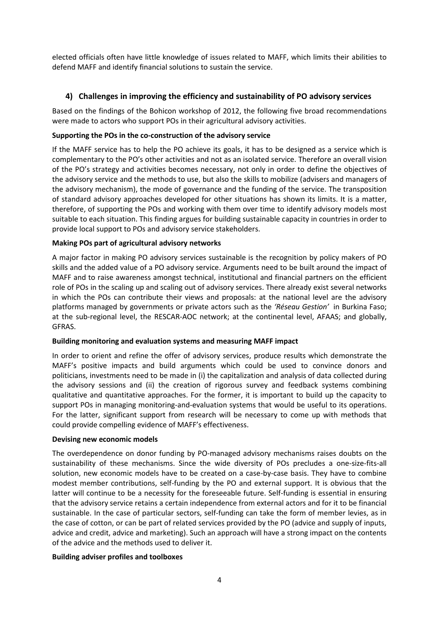elected officials often have little knowledge of issues related to MAFF, which limits their abilities to defend MAFF and identify financial solutions to sustain the service.

# **4) Challenges in improving the efficiency and sustainability of PO advisory services**

Based on the findings of the Bohicon workshop of 2012, the following five broad recommendations were made to actors who support POs in their agricultural advisory activities.

## **Supporting the POs in the co-construction of the advisory service**

If the MAFF service has to help the PO achieve its goals, it has to be designed as a service which is complementary to the PO's other activities and not as an isolated service. Therefore an overall vision of the PO's strategy and activities becomes necessary, not only in order to define the objectives of the advisory service and the methods to use, but also the skills to mobilize (advisers and managers of the advisory mechanism), the mode of governance and the funding of the service. The transposition of standard advisory approaches developed for other situations has shown its limits. It is a matter, therefore, of supporting the POs and working with them over time to identify advisory models most suitable to each situation. This finding argues for building sustainable capacity in countries in order to provide local support to POs and advisory service stakeholders.

## **Making POs part of agricultural advisory networks**

A major factor in making PO advisory services sustainable is the recognition by policy makers of PO skills and the added value of a PO advisory service. Arguments need to be built around the impact of MAFF and to raise awareness amongst technical, institutional and financial partners on the efficient role of POs in the scaling up and scaling out of advisory services. There already exist several networks in which the POs can contribute their views and proposals: at the national level are the advisory platforms managed by governments or private actors such as the *'Réseau Gestion'* in Burkina Faso; at the sub-regional level, the RESCAR-AOC network; at the continental level, AFAAS; and globally, GFRAS.

#### **Building monitoring and evaluation systems and measuring MAFF impact**

In order to orient and refine the offer of advisory services, produce results which demonstrate the MAFF's positive impacts and build arguments which could be used to convince donors and politicians, investments need to be made in (i) the capitalization and analysis of data collected during the advisory sessions and (ii) the creation of rigorous survey and feedback systems combining qualitative and quantitative approaches. For the former, it is important to build up the capacity to support POs in managing monitoring-and-evaluation systems that would be useful to its operations. For the latter, significant support from research will be necessary to come up with methods that could provide compelling evidence of MAFF's effectiveness.

#### **Devising new economic models**

The overdependence on donor funding by PO-managed advisory mechanisms raises doubts on the sustainability of these mechanisms. Since the wide diversity of POs precludes a one-size-fits-all solution, new economic models have to be created on a case-by-case basis. They have to combine modest member contributions, self-funding by the PO and external support. It is obvious that the latter will continue to be a necessity for the foreseeable future. Self-funding is essential in ensuring that the advisory service retains a certain independence from external actors and for it to be financial sustainable. In the case of particular sectors, self-funding can take the form of member levies, as in the case of cotton, or can be part of related services provided by the PO (advice and supply of inputs, advice and credit, advice and marketing). Such an approach will have a strong impact on the contents of the advice and the methods used to deliver it.

#### **Building adviser profiles and toolboxes**